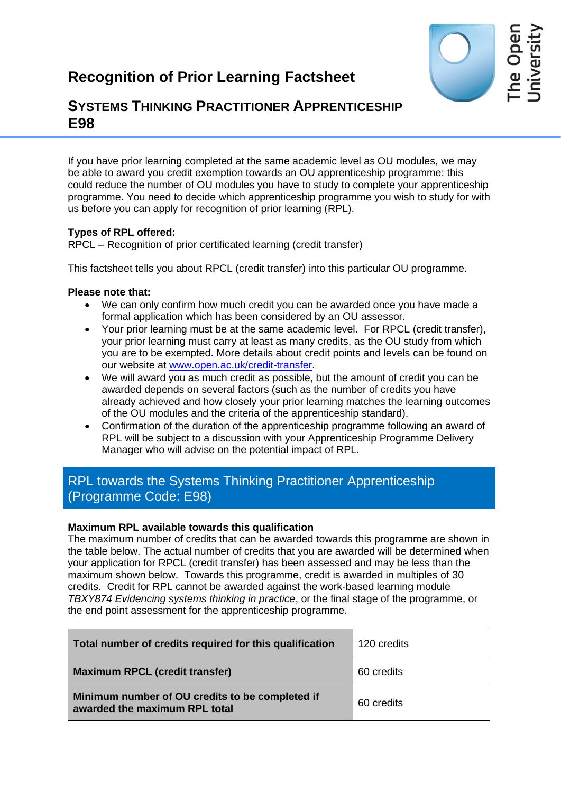

# **SYSTEMS THINKING PRACTITIONER APPRENTICESHIP E98**

If you have prior learning completed at the same academic level as OU modules, we may be able to award you credit exemption towards an OU apprenticeship programme: this could reduce the number of OU modules you have to study to complete your apprenticeship programme. You need to decide which apprenticeship programme you wish to study for with us before you can apply for recognition of prior learning (RPL).

## **Types of RPL offered:**

RPCL – Recognition of prior certificated learning (credit transfer)

This factsheet tells you about RPCL (credit transfer) into this particular OU programme.

## **Please note that:**

- We can only confirm how much credit you can be awarded once you have made a formal application which has been considered by an OU assessor.
- Your prior learning must be at the same academic level. For RPCL (credit transfer), your prior learning must carry at least as many credits, as the OU study from which you are to be exempted. More details about credit points and levels can be found on our website at [www.open.ac.uk/credit-transfer.](http://www.open.ac.uk/credit-transfer)
- We will award you as much credit as possible, but the amount of credit you can be awarded depends on several factors (such as the number of credits you have already achieved and how closely your prior learning matches the learning outcomes of the OU modules and the criteria of the apprenticeship standard).
- Confirmation of the duration of the apprenticeship programme following an award of RPL will be subject to a discussion with your Apprenticeship Programme Delivery Manager who will advise on the potential impact of RPL.

## RPL towards the Systems Thinking Practitioner Apprenticeship (Programme Code: E98)

## **Maximum RPL available towards this qualification**

The maximum number of credits that can be awarded towards this programme are shown in the table below. The actual number of credits that you are awarded will be determined when your application for RPCL (credit transfer) has been assessed and may be less than the maximum shown below. Towards this programme, credit is awarded in multiples of 30 credits. Credit for RPL cannot be awarded against the work-based learning module *TBXY874 Evidencing systems thinking in practice*, or the final stage of the programme, or the end point assessment for the apprenticeship programme.

| Total number of credits required for this qualification                          | 120 credits |
|----------------------------------------------------------------------------------|-------------|
| Maximum RPCL (credit transfer)                                                   | 60 credits  |
| Minimum number of OU credits to be completed if<br>awarded the maximum RPL total | 60 credits  |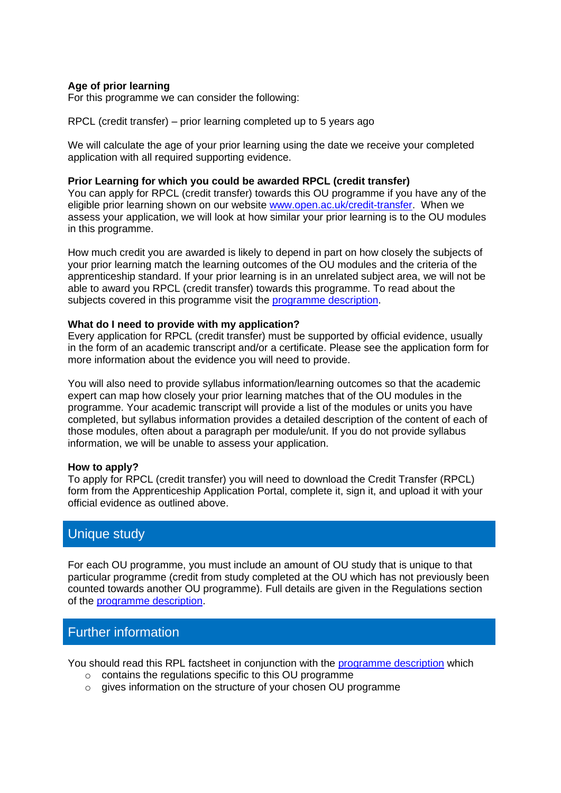### **Age of prior learning**

For this programme we can consider the following:

RPCL (credit transfer) – prior learning completed up to 5 years ago

We will calculate the age of your prior learning using the date we receive your completed application with all required supporting evidence.

#### **Prior Learning for which you could be awarded RPCL (credit transfer)**

You can apply for RPCL (credit transfer) towards this OU programme if you have any of the eligible prior learning shown on our website [www.open.ac.uk/credit-transfer.](http://www.open.ac.uk/credit-transfer) When we assess your application, we will look at how similar your prior learning is to the OU modules in this programme.

How much credit you are awarded is likely to depend in part on how closely the subjects of your prior learning match the learning outcomes of the OU modules and the criteria of the apprenticeship standard. If your prior learning is in an unrelated subject area, we will not be able to award you RPCL (credit transfer) towards this programme. To read about the subjects covered in this programme visit the [programme description.](https://info1.open.ac.uk/STPA-resources)

#### **What do I need to provide with my application?**

Every application for RPCL (credit transfer) must be supported by official evidence, usually in the form of an academic transcript and/or a certificate. Please see the application form for more information about the evidence you will need to provide.

You will also need to provide syllabus information/learning outcomes so that the academic expert can map how closely your prior learning matches that of the OU modules in the programme. Your academic transcript will provide a list of the modules or units you have completed, but syllabus information provides a detailed description of the content of each of those modules, often about a paragraph per module/unit. If you do not provide syllabus information, we will be unable to assess your application.

#### **How to apply?**

To apply for RPCL (credit transfer) you will need to download the Credit Transfer (RPCL) form from the Apprenticeship Application Portal, complete it, sign it, and upload it with your official evidence as outlined above.

## Unique study

For each OU programme, you must include an amount of OU study that is unique to that particular programme (credit from study completed at the OU which has not previously been counted towards another OU programme). Full details are given in the Regulations section of the [programme description.](https://info1.open.ac.uk/STPA-resources)

## Further information

You should read this RPL factsheet in conjunction with the [programme description](https://info1.open.ac.uk/STPA-resources) which

- o contains the regulations specific to this OU programme
- $\circ$  gives information on the structure of your chosen OU programme